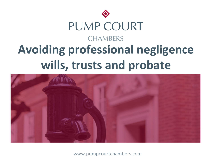



www.pumpcourtchambers.com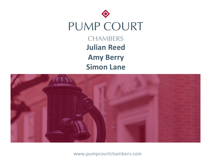



www.pumpcourtchambers.com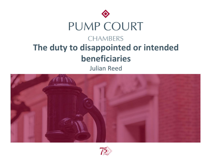

Julian Reed



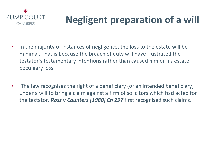

### **Negligent preparation of a will**

- In the majority of instances of negligence, the loss to the estate will be minimal. That is because the breach of duty will have frustrated the testator's testamentary intentions rather than caused him or his estate, pecuniary loss.
- The law recognises the right of a beneficiary (or an intended beneficiary) under a will to bring a claim against a firm of solicitors which had acted for the testator. *Ross v Caunters [1980] Ch 297* first recognised such claims.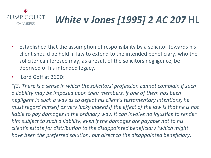

- Established that the assumption of responsibility by a solicitor towards his client should be held in law to extend to the intended beneficiary, who the solicitor can foresee may, as a result of the solicitors negligence, be deprived of his intended legacy.
- Lord Goff at 260D:

*"(3) There is a sense in which the solicitors' profession cannot complain if such a liability may be imposed upon their members. If one of them has been negligent in such a way as to defeat his client's testamentary intentions, he must regard himself as very lucky indeed if the effect of the law is that he is not liable to pay damages in the ordinary way. It can involve no injustice to render him subject to such a liability, even if the damages are payable not to his client's estate for distribution to the disappointed beneficiary (which might have been the preferred solution) but direct to the disappointed beneficiary.*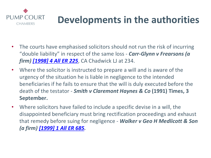

### **Developments in the author**

- The courts have emphasised solicitors should not run the risk of incurrie "double [liability" in respect](https://www.lexisnexis.com/uk/legal/search/enhRunRemoteLink.do?linkInfo=F%23GB%23ALLER%23sel1%251999%25vol%251%25year%251999%25page%25685%25sel2%251%25&A=0.7152583097881418&backKey=20_T29313398945&service=citation&ersKey=23_T29313398189&langcountry=GB) of the same loss - *Carr-Glynn v Frearsol firm) [1998] 4 All ER 225*, CA Chadwick LJ at 234.
- Where the solicitor is instructed to prepare a will and is aware of the urgency of the situation he is liable in negligence to the intended beneficiaries if he fails to ensure that the will is duly executed befo death of the testator - *Smith v Claremont Haynes & Co* (1991) Time **September.**
- Where solicitors have failed to include a specific devise in a will, the disappointed beneficiary must bring rectification proceedings and  $\epsilon$ that remedy before suing for negligence - Walker v Geo H Medlicot *(a firm) [1999] 1 All ER 685.*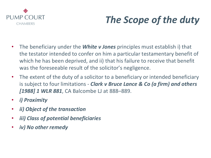

### *The Scope of the duty*

- The beneficiary under the *White v Jones* principles must establish i) that the testator intended to confer on him a particular testamentary benefit of which he has been deprived, and ii) that his failure to receive that benefit was the foreseeable result of the solicitor's negligence.
- The extent of the duty of a solicitor to a beneficiary or intended beneficiary is subject to four limitations - *Clark v Bruce Lance & Co (a firm) and others [1988] 1 WLR 881*, CA Balcombe LJ at 888–889.
- *i) Proximity*
- *ii) Object of the transaction*
- *iii) Class of potential beneficiaries*
- *iv) No other remedy*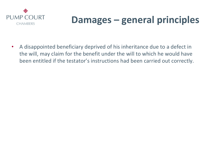

### **Damages – general principles**

• A disappointed beneficiary deprived of his inheritance due to a defect in the will, may claim for the benefit under the will to which he would have been entitled if the testator's instructions had been carried out correctly.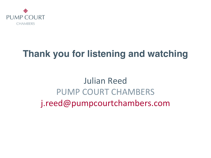

### **Thank you for listening and watching**

Julian Reed PUMP COURT CHAMBERS j.reed@pumpcourtchambers.com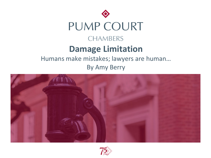



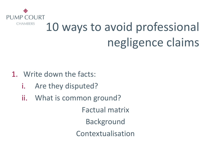

# 10 ways to avoid professional negligence claims

- 1. Write down the facts:
	- i. Are they disputed?
	- ii. What is common ground?

Factual matrix Background Contextualisation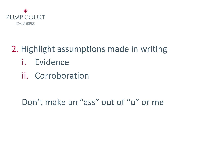

#### 2. Highlight assumptions made in writing

- i. Evidence
- ii. Corroboration

#### Don't make an "ass" out of "u" or me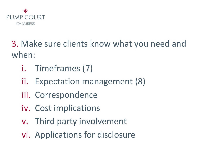

3. Make sure clients know what you need and when:

- i. Timeframes (7)
- ii. Expectation management (8)
- iii. Correspondence
- iv. Cost implications
- v. Third party involvement
- vi. Applications for disclosure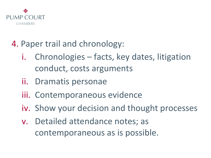

#### 4. Paper trail and chronology:

- i. Chronologies facts, key dates, litigation conduct, costs arguments
- ii. Dramatis personae
- iii. Contemporaneous evidence
- iv. Show your decision and thought processes
- v. Detailed attendance notes; as contemporaneous as is possible.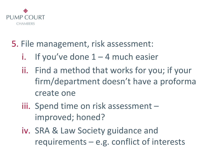

#### 5. File management, risk assessment:

- If you've done  $1 4$  much easier
- ii. Find a method that works for you; if your firm/department doesn't have a proforma create one
- iii. Spend time on risk assessment improved; honed?
- iv. SRA & Law Society guidance and requirements – e.g. conflict of interests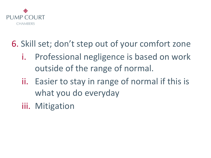

#### 6. Skill set; don't step out of your comfort zone

- i. Professional negligence is based on work outside of the range of normal.
- ii. Easier to stay in range of normal if this is what you do everyday
- iii. Mitigation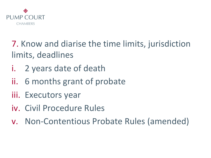

7. Know and diarise the time limits, jurisdiction limits, deadlines

- i. 2 years date of death
- ii. 6 months grant of probate
- iii. Executors year
- iv. Civil Procedure Rules
- v. Non-Contentious Probate Rules (amended)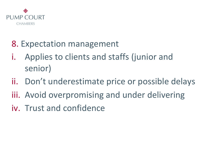

- 8. Expectation management
- i. Applies to clients and staffs (junior and senior)
- ii. Don't underestimate price or possible delays
- iii. Avoid overpromising and under delivering
- iv. Trust and confidence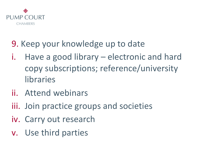

#### 9. Keep your knowledge up to date

- i. Have a good library electronic and hard copy subscriptions; reference/university libraries
- ii. Attend webinars
- iii. Join practice groups and societies
- iv. Carry out research
- v. Use third parties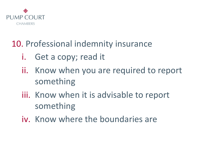

#### 10. Professional indemnity insurance

- i. Get a copy; read it
- ii. Know when you are required to report something
- iii. Know when it is advisable to report something
- iv. Know where the boundaries are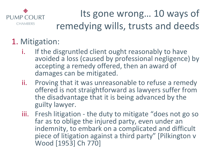

### Its gone wrong… 10 ways of remedying wills, trusts and deeds

#### 1. Mitigation:

- i. If the disgruntled client ought reasonably to have avoided a loss (caused by professional negligence) by accepting a remedy offered, then an award of damages can be mitigated.
- ii. Proving that it was unreasonable to refuse a remedy offered is not straightforward as lawyers suffer from the disadvantage that it is being advanced by the guilty lawyer.
- iii. Fresh litigation the duty to mitigate "does not go so far as to oblige the injured party, even under an indemnity, to embark on a complicated and difficult piece of litigation against a third party" [Pilkington v Wood [1953] Ch 770]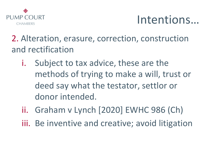

### Intentions…

2. Alteration, erasure, correction, construction and rectification

- i. Subject to tax advice, these are the methods of trying to make a will, trust or deed say what the testator, settlor or donor intended.
- ii. Graham v Lynch [2020] EWHC 986 (Ch)
- iii. Be inventive and creative; avoid litigation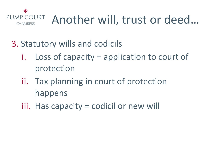

- 3. Statutory wills and codicils
	- i. Loss of capacity = application to court of protection
	- ii. Tax planning in court of protection happens
	- iii. Has capacity = codicil or new will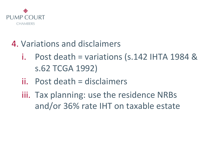

#### 4. Variations and disclaimers

- i. Post death = variations  $(s.142$  IHTA 1984 & s.62 TCGA 1992)
- ii. Post death = disclaimers
- iii. Tax planning: use the residence NRBs and/or 36% rate IHT on taxable estate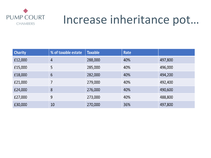

### Increase inheritance pot…

| <b>Charity</b> | % of taxable estate | <b>Taxable</b> | Rate |         |
|----------------|---------------------|----------------|------|---------|
| £12,000        | $\overline{4}$      | 288,000        | 40%  | 497,800 |
| £15,000        | 5                   | 285,000        | 40%  | 496,000 |
| £18,000        | $6\overline{6}$     | 282,000        | 40%  | 494,200 |
| £21,000        | 7                   | 279,000        | 40%  | 492,400 |
| £24,000        | 8                   | 276,000        | 40%  | 490,600 |
| £27,000        | 9                   | 273,000        | 40%  | 488,800 |
| £30,000        | 10                  | 270,000        | 36%  | 497,800 |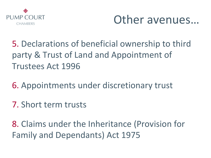



5. Declarations of beneficial ownership to third party & Trust of Land and Appointment of Trustees Act 1996

6. Appointments under discretionary trust

7. Short term trusts

8. Claims under the Inheritance (Provision for Family and Dependants) Act 1975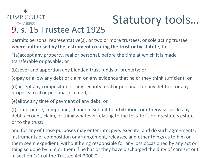#### ◈ **PUMP COURT**

# Statutory tools…

#### **CHAMBERS** 9. s. 15 Trustee Act 1925

permits personal representative(s), or two or more trustees, or sole acting trustee **where authorised by the instrument creating the trust or by statute**, to:

"(a)accept any property, real or personal, before the time at which it is made transferable or payable; or

(b)sever and apportion any blended trust funds or property; or

(c)pay or allow any debt or claim on any evidence that he or they think sufficient; or

(d)accept any composition or any security, real or personal, for any debt or for any property, real or personal, claimed; or

(e)allow any time of payment of any debt; or

(f)compromise, compound, abandon, submit to arbitration, or otherwise settle any debt, account, claim, or thing whatever relating to the testator's or intestate's estate or to the trust;

and for any of those purposes may enter into, give, execute, and do such agreements, instruments of composition or arrangement, releases, and other things as to him or them seem expedient, without being responsible for any loss occasioned by any act or thing so done by him or them if he has or they have discharged the duty of care set out in section 1(1) of the Trustee Act 2000."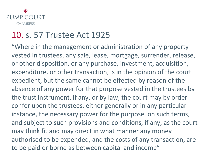

#### 10. s. 57 Trustee Act 1925

"Where in the management or administration of any property vested in trustees, any sale, lease, mortgage, surrender, release, or other disposition, or any purchase, investment, acquisition, expenditure, or other transaction, is in the opinion of the court expedient, but the same cannot be effected by reason of the absence of any power for that purpose vested in the trustees by the trust instrument, if any, or by law, the court may by order confer upon the trustees, either generally or in any particular instance, the necessary power for the purpose, on such terms, and subject to such provisions and conditions, if any, as the court may think fit and may direct in what manner any money authorised to be expended, and the costs of any transaction, are to be paid or borne as between capital and income"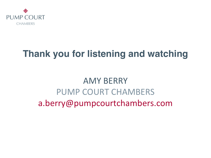

### **Thank you for listening and watching**

### AMY BERRY PUMP COURT CHAMBERS a.berry@pumpcourtchambers.com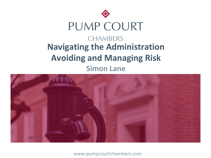



www.pumpcourtchambers.com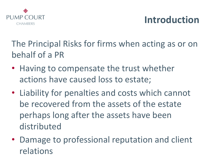

### **Introduction**

The Principal Risks for firms when acting as or on behalf of a PR

- Having to compensate the trust whether actions have caused loss to estate;
- Liability for penalties and costs which cannot be recovered from the assets of the estate perhaps long after the assets have been distributed
- Damage to professional reputation and client relations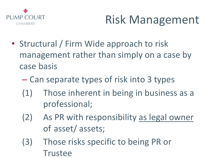

- Structural / Firm Wide approach to risk management rather than simply on a case by case basis
	- Can separate types of risk into 3 types
	- (1) Those inherent in being in business as a professional;
	- (2) As PR with responsibility as legal owner of asset/ assets;
	- (3) Those risks specific to being PR or Trustee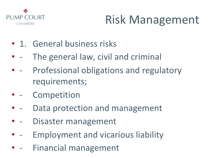

- 1. General business risks
- - The general law, civil and criminal
- - Professional obligations and regulatory requirements;
- - Competition
- - Data protection and management
- - Disaster management
- - Employment and vicarious liability
- - Financial management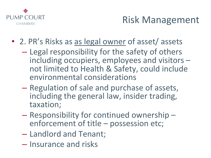

- 2. PR's Risks as as legal owner of asset/ assets
	- Legal responsibility for the safety of others including occupiers, employees and visitors – not limited to Health & Safety, could include environmental considerations
	- Regulation of sale and purchase of assets, including the general law, insider trading, taxation;
	- Responsibility for continued ownership enforcement of title possession etc;
	- Landlord and Tenant;
	- Insurance and risks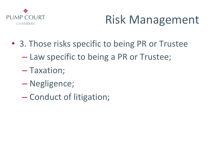

- 3. Those risks specific to being PR or Trustee
	- Law specific to being a PR or Trustee;
	- Taxation;
	- Negligence;
	- Conduct of litigation;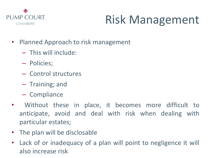

- Planned Approach to risk management
	- This will include:
	- Policies;
	- Control structures
	- Training; and
	- Compliance
- Without these in place, it becomes more difficult to anticipate, avoid and deal with risk when dealing with particular estates;
- The plan will be disclosable
- Lack of or inadequacy of a plan will point to negligence it will also increase risk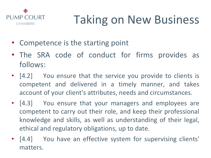

# Taking on New Business

- Competence is the starting point
- The SRA code of conduct for firms provides as follows:
- [4.2] You ensure that the service you provide to clients is competent and delivered in a timely manner, and takes account of your client's attributes, needs and circumstances.
- [4.3] You ensure that your managers and employees are competent to carry out their role, and keep their professional knowledge and skills, as well as understanding of their legal, ethical and regulatory obligations, up to date.
- [4.4] You have an effective system for supervising clients' matters.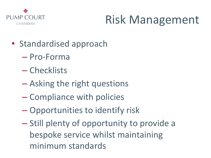

- Standardised approach
	- Pro-Forma
	- Checklists
	- Asking the right questions
	- Compliance with policies
	- Opportunities to identify risk
	- Still plenty of opportunity to provide a bespoke service whilst maintaining minimum standards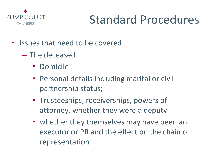

## Standard Procedures

- Issues that need to be covered
	- The deceased
		- Domicile
		- Personal details including marital or civil partnership status;
		- Trusteeships, receiverships, powers of attorney, whether they were a deputy
		- whether they themselves may have been an executor or PR and the effect on the chain of representation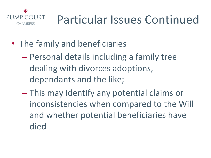

- The family and beneficiaries
	- Personal details including a family tree dealing with divorces adoptions, dependants and the like;
	- This may identify any potential claims or inconsistencies when compared to the Will and whether potential beneficiaries have died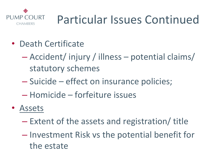

- Death Certificate
	- Accident/ injury / illness potential claims/ statutory schemes
	- Suicide effect on insurance policies;
	- Homicide forfeiture issues
- Assets
	- Extent of the assets and registration/ title
	- Investment Risk vs the potential benefit for the estate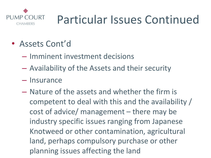

- Assets Cont'd
	- Imminent investment decisions
	- Availability of the Assets and their security
	- Insurance
	- Nature of the assets and whether the firm is competent to deal with this and the availability / cost of advice/ management – there may be industry specific issues ranging from Japanese Knotweed or other contamination, agricultural land, perhaps compulsory purchase or other planning issues affecting the land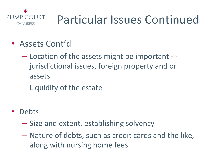

- Assets Cont'd
	- Location of the assets might be important jurisdictional issues, foreign property and or assets.
	- Liquidity of the estate
- Debts
	- Size and extent, establishing solvency
	- Nature of debts, such as credit cards and the like, along with nursing home fees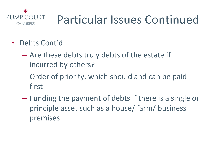

- Debts Cont'd
	- Are these debts truly debts of the estate if incurred by others?
	- Order of priority, which should and can be paid first
	- Funding the payment of debts if there is a single or principle asset such as a house/ farm/ business premises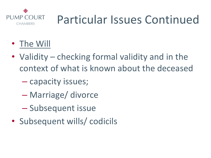

- The Will
- Validity checking formal validity and in the context of what is known about the deceased
	- capacity issues;
	- Marriage/ divorce
	- Subsequent issue
- Subsequent wills/ codicils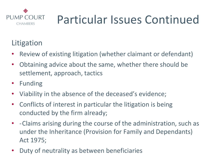

#### Litigation

- Review of existing litigation (whether claimant or defendant)
- Obtaining advice about the same, whether there should be settlement, approach, tactics
- Funding
- Viability in the absence of the deceased's evidence;
- Conflicts of interest in particular the litigation is being conducted by the firm already;
- -Claims arising during the course of the administration, such as under the Inheritance (Provision for Family and Dependants) Act 1975;
- Duty of neutrality as between beneficiaries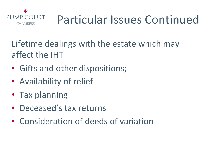

Lifetime dealings with the estate which may affect the IHT

- Gifts and other dispositions;
- Availability of relief
- Tax planning
- Deceased's tax returns
- Consideration of deeds of variation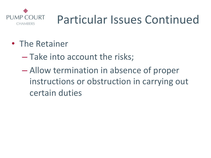

- The Retainer
	- Take into account the risks;
	- Allow termination in absence of proper instructions or obstruction in carrying out certain duties